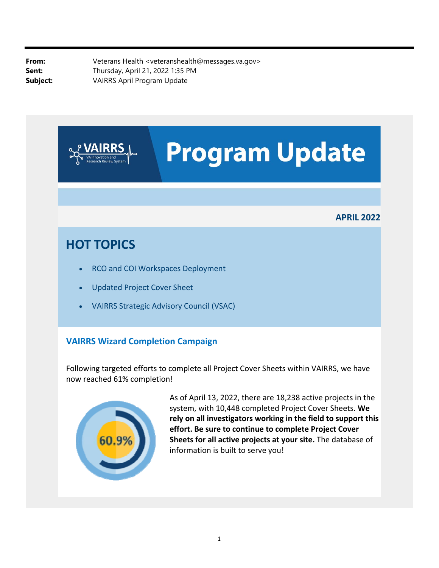**From:** Veterans Health <veteranshealth@messages.va.gov> **Sent:** Thursday, April 21, 2022 1:35 PM **Subject:** VAIRRS April Program Update



## **VAIRRS Wizard Completion Campaign**

Following targeted efforts to complete all Project Cover Sheets within VAIRRS, we have now reached 61% completion!



As of April 13, 2022, there are 18,238 active projects in the system, with 10,448 completed Project Cover Sheets. **We rely on all investigators working in the field to support this effort. Be sure to continue to complete Project Cover Sheets for all active projects at your site.** The database of information is built to serve you!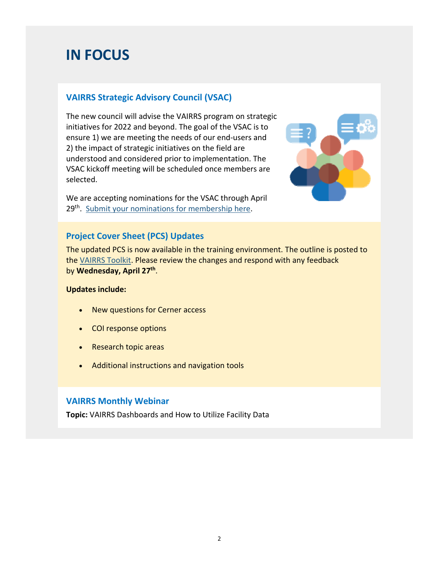# **IN FOCUS**

### **VAIRRS Strategic Advisory Council (VSAC)**

The new council will advise the VAIRRS program on strategic initiatives for 2022 and beyond. The goal of the VSAC is to ensure 1) we are meeting the needs of our end‐users and 2) the impact of strategic initiatives on the field are understood and considered prior to implementation. The VSAC kickoff meeting will be scheduled once members are selected.

We are accepting nominations for the VSAC through April 29<sup>th</sup>. Submit your nominations for membership here.



#### **Project Cover Sheet (PCS) Updates**

The updated PCS is now available in the training environment. The outline is posted to the VAIRRS Toolkit. Please review the changes and respond with any feedback by **Wednesday, April 27th**.

#### **Updates include:**

- New questions for Cerner access
- COI response options
- Research topic areas
- Additional instructions and navigation tools

#### **VAIRRS Monthly Webinar**

**Topic:** VAIRRS Dashboards and How to Utilize Facility Data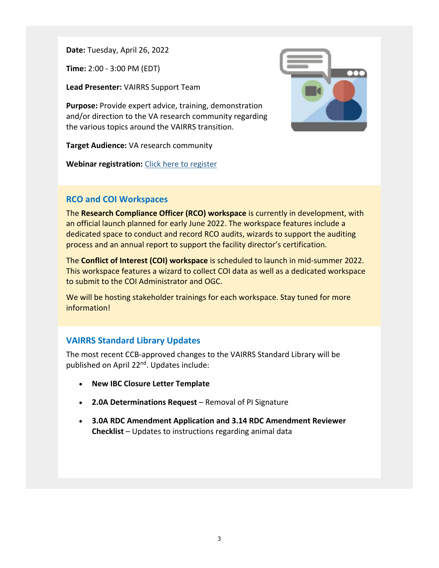**Date:** Tuesday, April 26, 2022

**Time:** 2:00 ‐ 3:00 PM (EDT)

**Lead Presenter:** VAIRRS Support Team

**Purpose:** Provide expert advice, training, demonstration and/or direction to the VA research community regarding the various topics around the VAIRRS transition.

**Target Audience:** VA research community

**Webinar registration:** Click here to register



#### **RCO and COI Workspaces**

The **Research Compliance Officer (RCO) workspace** is currently in development, with an official launch planned for early June 2022. The workspace features include a dedicated space to conduct and record RCO audits, wizards to support the auditing process and an annual report to support the facility director's certification.

The **Conflict of Interest (COI) workspace** is scheduled to launch in mid‐summer 2022. This workspace features a wizard to collect COI data as well as a dedicated workspace to submit to the COI Administrator and OGC.

We will be hosting stakeholder trainings for each workspace. Stay tuned for more information!

#### **VAIRRS Standard Library Updates**

The most recent CCB‐approved changes to the VAIRRS Standard Library will be published on April 22nd. Updates include:

- **New IBC Closure Letter Template**
- **2.0A Determinations Request** Removal of PI Signature
- **3.0A RDC Amendment Application and 3.14 RDC Amendment Reviewer Checklist** – Updates to instructions regarding animal data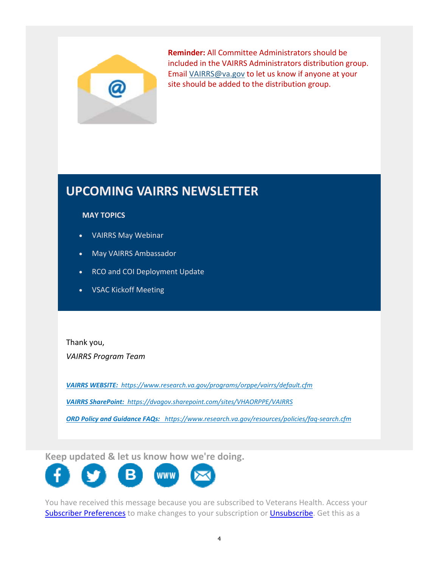

**Reminder:** All Committee Administrators should be included in the VAIRRS Administrators distribution group. Email [VAIRRS@va.gov](mailto:VAIRRS@va.gov) to let us know if anyone at your site should be added to the distribution group.

# **UPCOMING VAIRRS NEWSLETTER**

#### **MAY TOPICS**

- VAIRRS May Webinar
- May VAIRRS Ambassador
- RCO and COI Deployment Update
- VSAC Kickoff Meeting

Thank you, *VAIRRS Program Team*

*VAIRRS WEBSITE: <https://www.research.va.gov/programs/orppe/vairrs/default.cfm>*

 *VAIRRS SharePoint: <https://dvagov.sharepoint.com/sites/VHAORPPE/VAIRRS>*

 *ORD Policy and Guidance FAQs: [https://www.research.va.gov/resources/policies/faq‐search.cfm](https://www.research.va.gov/resources/policies/faq-search.cfm)*

**Keep updated & let us know how we're doing.** 



Subscriber Preferences to make changes to you are subscribed to veterans rication recess your You have received this message because you are subscribed to Veterans Health. Access your